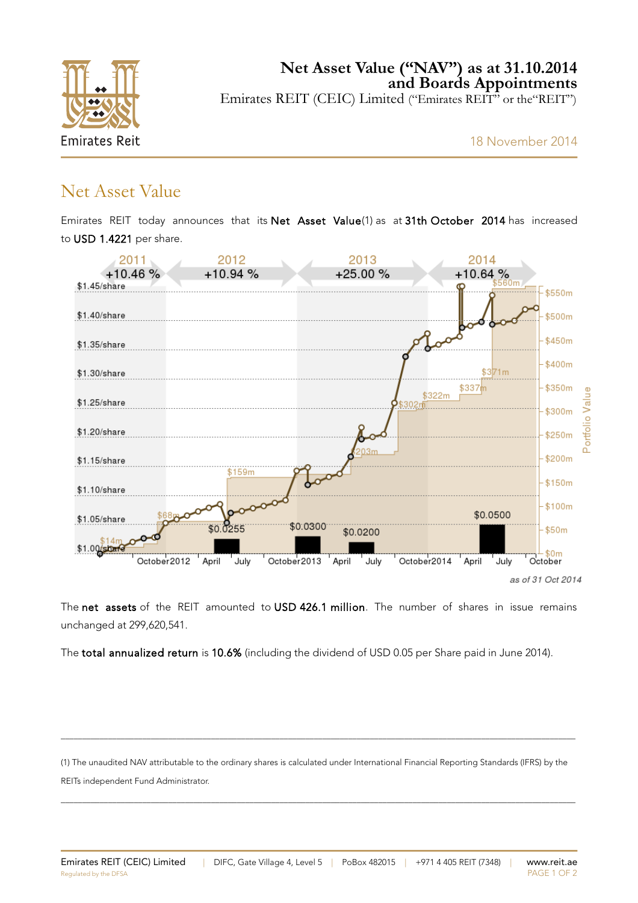

### Net Asset Value

Emirates REIT today announces that its Net Asset Value(1) as at 31th October 2014 has increased to USD 1.4221 per share.



The net assets of the REIT amounted to USD 426.1 million. The number of shares in issue remains unchanged at 299,620,541.

The total annualized return is 10.6% (including the dividend of USD 0.05 per Share paid in June 2014).

(1) The unaudited NAV attributable to the ordinary shares is calculated under International Financial Reporting Standards (IFRS) by the REITs independent Fund Administrator.

\_\_\_\_\_\_\_\_\_\_\_\_\_\_\_\_\_\_\_\_\_\_\_\_\_\_\_\_\_\_\_\_\_\_\_\_\_\_\_\_\_\_\_\_\_\_\_\_\_\_\_\_\_\_\_\_\_\_\_\_\_\_\_\_\_\_\_\_\_\_\_\_\_\_\_\_\_\_\_\_\_\_\_\_\_\_\_\_\_\_\_\_\_\_\_\_\_\_\_\_\_\_\_\_\_\_\_\_\_\_\_\_\_\_\_\_\_\_\_\_

\_\_\_\_\_\_\_\_\_\_\_\_\_\_\_\_\_\_\_\_\_\_\_\_\_\_\_\_\_\_\_\_\_\_\_\_\_\_\_\_\_\_\_\_\_\_\_\_\_\_\_\_\_\_\_\_\_\_\_\_\_\_\_\_\_\_\_\_\_\_\_\_\_\_\_\_\_\_\_\_\_\_\_\_\_\_\_\_\_\_\_\_\_\_\_\_\_\_\_\_\_\_\_\_\_\_\_\_\_\_\_\_\_\_\_\_\_\_\_\_